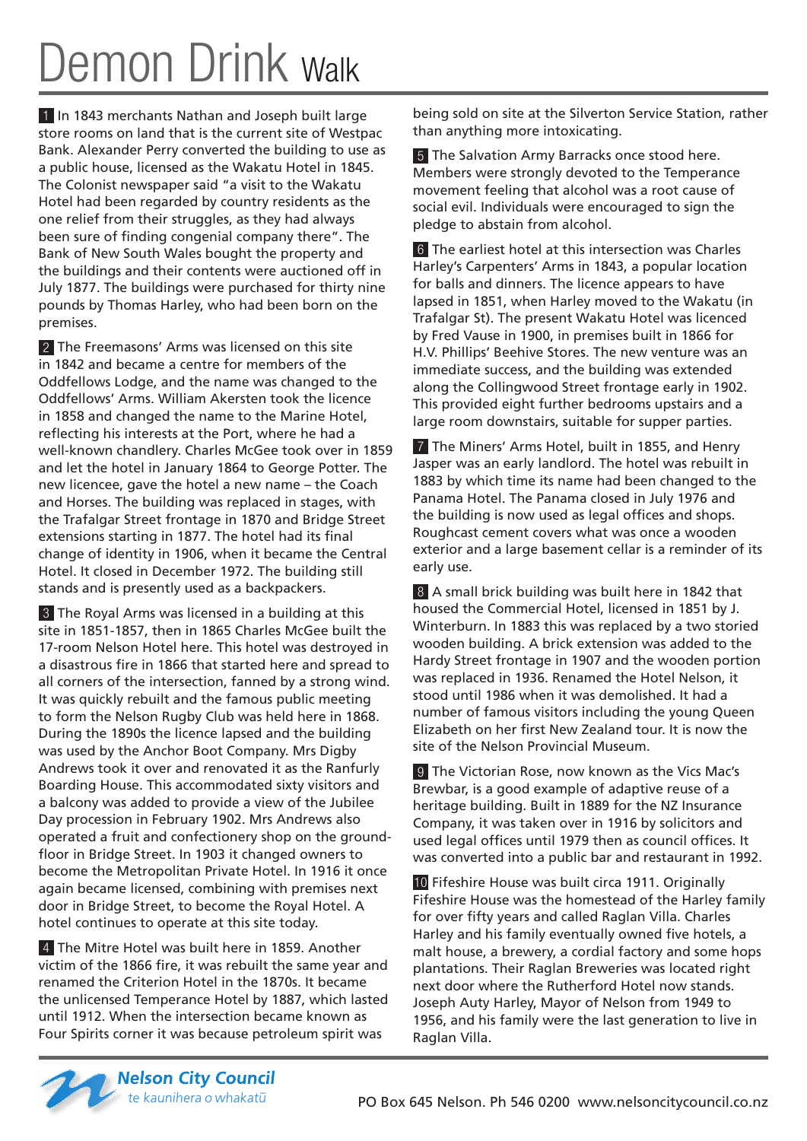## Demon Drink walk

1 In 1843 merchants Nathan and Joseph built large store rooms on land that is the current site of Westpac Bank. Alexander Perry converted the building to use as a public house, licensed as the Wakatu Hotel in 1845. The Colonist newspaper said "a visit to the Wakatu Hotel had been regarded by country residents as the one relief from their struggles, as they had always been sure of finding congenial company there". The Bank of New South Wales bought the property and the buildings and their contents were auctioned off in July 1877. The buildings were purchased for thirty nine pounds by Thomas Harley, who had been born on the premises.

2 The Freemasons' Arms was licensed on this site in 1842 and became a centre for members of the Oddfellows Lodge, and the name was changed to the Oddfellows' Arms. William Akersten took the licence in 1858 and changed the name to the Marine Hotel, reflecting his interests at the Port, where he had a well-known chandlery. Charles McGee took over in 1859 and let the hotel in January 1864 to George Potter. The new licencee, gave the hotel a new name – the Coach and Horses. The building was replaced in stages, with the Trafalgar Street frontage in 1870 and Bridge Street extensions starting in 1877. The hotel had its final change of identity in 1906, when it became the Central Hotel. It closed in December 1972. The building still stands and is presently used as a backpackers.

3 The Royal Arms was licensed in a building at this site in 1851-1857, then in 1865 Charles McGee built the 17-room Nelson Hotel here. This hotel was destroyed in a disastrous fire in 1866 that started here and spread to all corners of the intersection, fanned by a strong wind. It was quickly rebuilt and the famous public meeting to form the Nelson Rugby Club was held here in 1868. During the 1890s the licence lapsed and the building was used by the Anchor Boot Company. Mrs Digby Andrews took it over and renovated it as the Ranfurly Boarding House. This accommodated sixty visitors and a balcony was added to provide a view of the Jubilee Day procession in February 1902. Mrs Andrews also operated a fruit and confectionery shop on the groundfloor in Bridge Street. In 1903 it changed owners to become the Metropolitan Private Hotel. In 1916 it once again became licensed, combining with premises next door in Bridge Street, to become the Royal Hotel. A hotel continues to operate at this site today.

4 The Mitre Hotel was built here in 1859. Another victim of the 1866 fire, it was rebuilt the same year and renamed the Criterion Hotel in the 1870s. It became the unlicensed Temperance Hotel by 1887, which lasted until 1912. When the intersection became known as Four Spirits corner it was because petroleum spirit was

being sold on site at the Silverton Service Station, rather than anything more intoxicating.

5 The Salvation Army Barracks once stood here. Members were strongly devoted to the Temperance movement feeling that alcohol was a root cause of social evil. Individuals were encouraged to sign the pledge to abstain from alcohol.

6 The earliest hotel at this intersection was Charles Harley's Carpenters' Arms in 1843, a popular location for balls and dinners. The licence appears to have lapsed in 1851, when Harley moved to the Wakatu (in Trafalgar St). The present Wakatu Hotel was licenced by Fred Vause in 1900, in premises built in 1866 for H.V. Phillips' Beehive Stores. The new venture was an immediate success, and the building was extended along the Collingwood Street frontage early in 1902. This provided eight further bedrooms upstairs and a large room downstairs, suitable for supper parties.

7 The Miners' Arms Hotel, built in 1855, and Henry Jasper was an early landlord. The hotel was rebuilt in 1883 by which time its name had been changed to the Panama Hotel. The Panama closed in July 1976 and the building is now used as legal offices and shops. Roughcast cement covers what was once a wooden exterior and a large basement cellar is a reminder of its early use.

8 A small brick building was built here in 1842 that housed the Commercial Hotel, licensed in 1851 by J. Winterburn. In 1883 this was replaced by a two storied wooden building. A brick extension was added to the Hardy Street frontage in 1907 and the wooden portion was replaced in 1936. Renamed the Hotel Nelson, it stood until 1986 when it was demolished. It had a number of famous visitors including the young Queen Elizabeth on her first New Zealand tour. It is now the site of the Nelson Provincial Museum.

9 The Victorian Rose, now known as the Vics Mac's Brewbar, is a good example of adaptive reuse of a heritage building. Built in 1889 for the NZ Insurance Company, it was taken over in 1916 by solicitors and used legal offices until 1979 then as council offices. It was converted into a public bar and restaurant in 1992.

10 Fifeshire House was built circa 1911. Originally Fifeshire House was the homestead of the Harley family for over fifty years and called Raglan Villa. Charles Harley and his family eventually owned five hotels, a malt house, a brewery, a cordial factory and some hops plantations. Their Raglan Breweries was located right next door where the Rutherford Hotel now stands. Joseph Auty Harley, Mayor of Nelson from 1949 to 1956, and his family were the last generation to live in Raglan Villa.